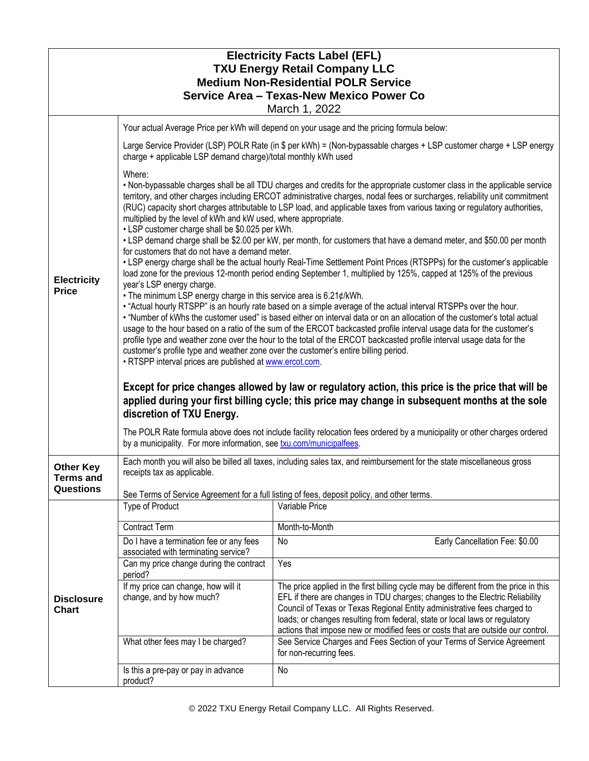| <b>Electricity Facts Label (EFL)</b><br><b>TXU Energy Retail Company LLC</b><br><b>Medium Non-Residential POLR Service</b><br><b>Service Area - Texas-New Mexico Power Co</b><br>March 1, 2022 |                                                                                                                                                                                                                                                                                                                                                                                                                                                                                                                                                                                                                                                                                                                      |                                                                                                                                                                                                                                                                                                                                                                                                                    |  |  |
|------------------------------------------------------------------------------------------------------------------------------------------------------------------------------------------------|----------------------------------------------------------------------------------------------------------------------------------------------------------------------------------------------------------------------------------------------------------------------------------------------------------------------------------------------------------------------------------------------------------------------------------------------------------------------------------------------------------------------------------------------------------------------------------------------------------------------------------------------------------------------------------------------------------------------|--------------------------------------------------------------------------------------------------------------------------------------------------------------------------------------------------------------------------------------------------------------------------------------------------------------------------------------------------------------------------------------------------------------------|--|--|
|                                                                                                                                                                                                |                                                                                                                                                                                                                                                                                                                                                                                                                                                                                                                                                                                                                                                                                                                      | Your actual Average Price per kWh will depend on your usage and the pricing formula below:                                                                                                                                                                                                                                                                                                                         |  |  |
| <b>Electricity</b><br><b>Price</b>                                                                                                                                                             | charge + applicable LSP demand charge)/total monthly kWh used                                                                                                                                                                                                                                                                                                                                                                                                                                                                                                                                                                                                                                                        | Large Service Provider (LSP) POLR Rate (in \$ per kWh) = (Non-bypassable charges + LSP customer charge + LSP energy                                                                                                                                                                                                                                                                                                |  |  |
|                                                                                                                                                                                                | Where:<br>. Non-bypassable charges shall be all TDU charges and credits for the appropriate customer class in the applicable service<br>territory, and other charges including ERCOT administrative charges, nodal fees or surcharges, reliability unit commitment<br>(RUC) capacity short charges attributable to LSP load, and applicable taxes from various taxing or regulatory authorities,<br>multiplied by the level of kWh and kW used, where appropriate.<br>• LSP customer charge shall be \$0.025 per kWh.<br>• LSP demand charge shall be \$2.00 per kW, per month, for customers that have a demand meter, and \$50.00 per month                                                                        |                                                                                                                                                                                                                                                                                                                                                                                                                    |  |  |
|                                                                                                                                                                                                | for customers that do not have a demand meter.<br>• LSP energy charge shall be the actual hourly Real-Time Settlement Point Prices (RTSPPs) for the customer's applicable<br>load zone for the previous 12-month period ending September 1, multiplied by 125%, capped at 125% of the previous<br>year's LSP energy charge.                                                                                                                                                                                                                                                                                                                                                                                          |                                                                                                                                                                                                                                                                                                                                                                                                                    |  |  |
|                                                                                                                                                                                                | . The minimum LSP energy charge in this service area is 6.21¢/kWh.<br>. "Actual hourly RTSPP" is an hourly rate based on a simple average of the actual interval RTSPPs over the hour.<br>. "Number of kWhs the customer used" is based either on interval data or on an allocation of the customer's total actual<br>usage to the hour based on a ratio of the sum of the ERCOT backcasted profile interval usage data for the customer's<br>profile type and weather zone over the hour to the total of the ERCOT backcasted profile interval usage data for the<br>customer's profile type and weather zone over the customer's entire billing period.<br>. RTSPP interval prices are published at www.ercot.com. |                                                                                                                                                                                                                                                                                                                                                                                                                    |  |  |
|                                                                                                                                                                                                | Except for price changes allowed by law or regulatory action, this price is the price that will be<br>applied during your first billing cycle; this price may change in subsequent months at the sole<br>discretion of TXU Energy.                                                                                                                                                                                                                                                                                                                                                                                                                                                                                   |                                                                                                                                                                                                                                                                                                                                                                                                                    |  |  |
|                                                                                                                                                                                                | The POLR Rate formula above does not include facility relocation fees ordered by a municipality or other charges ordered<br>by a municipality. For more information, see txu.com/municipalfees.                                                                                                                                                                                                                                                                                                                                                                                                                                                                                                                      |                                                                                                                                                                                                                                                                                                                                                                                                                    |  |  |
| <b>Other Key</b><br><b>Terms and</b>                                                                                                                                                           | Each month you will also be billed all taxes, including sales tax, and reimbursement for the state miscellaneous gross<br>receipts tax as applicable.                                                                                                                                                                                                                                                                                                                                                                                                                                                                                                                                                                |                                                                                                                                                                                                                                                                                                                                                                                                                    |  |  |
| <b>Questions</b>                                                                                                                                                                               |                                                                                                                                                                                                                                                                                                                                                                                                                                                                                                                                                                                                                                                                                                                      | See Terms of Service Agreement for a full listing of fees, deposit policy, and other terms.                                                                                                                                                                                                                                                                                                                        |  |  |
|                                                                                                                                                                                                | Type of Product                                                                                                                                                                                                                                                                                                                                                                                                                                                                                                                                                                                                                                                                                                      | Variable Price                                                                                                                                                                                                                                                                                                                                                                                                     |  |  |
| <b>Disclosure</b><br><b>Chart</b>                                                                                                                                                              | <b>Contract Term</b>                                                                                                                                                                                                                                                                                                                                                                                                                                                                                                                                                                                                                                                                                                 | Month-to-Month                                                                                                                                                                                                                                                                                                                                                                                                     |  |  |
|                                                                                                                                                                                                | Do I have a termination fee or any fees<br>associated with terminating service?                                                                                                                                                                                                                                                                                                                                                                                                                                                                                                                                                                                                                                      | Early Cancellation Fee: \$0.00<br>No                                                                                                                                                                                                                                                                                                                                                                               |  |  |
|                                                                                                                                                                                                | Can my price change during the contract<br>period?                                                                                                                                                                                                                                                                                                                                                                                                                                                                                                                                                                                                                                                                   | Yes                                                                                                                                                                                                                                                                                                                                                                                                                |  |  |
|                                                                                                                                                                                                | If my price can change, how will it<br>change, and by how much?                                                                                                                                                                                                                                                                                                                                                                                                                                                                                                                                                                                                                                                      | The price applied in the first billing cycle may be different from the price in this<br>EFL if there are changes in TDU charges; changes to the Electric Reliability<br>Council of Texas or Texas Regional Entity administrative fees charged to<br>loads; or changes resulting from federal, state or local laws or regulatory<br>actions that impose new or modified fees or costs that are outside our control. |  |  |
|                                                                                                                                                                                                | What other fees may I be charged?                                                                                                                                                                                                                                                                                                                                                                                                                                                                                                                                                                                                                                                                                    | See Service Charges and Fees Section of your Terms of Service Agreement<br>for non-recurring fees.                                                                                                                                                                                                                                                                                                                 |  |  |
|                                                                                                                                                                                                | Is this a pre-pay or pay in advance<br>product?                                                                                                                                                                                                                                                                                                                                                                                                                                                                                                                                                                                                                                                                      | No                                                                                                                                                                                                                                                                                                                                                                                                                 |  |  |